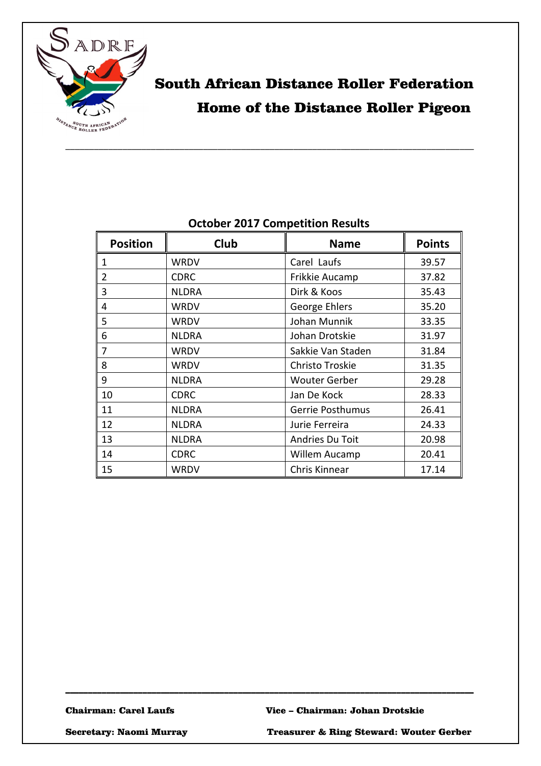

# South African Distance Roller Federation Home of the Distance Roller Pigeon

| <b>Position</b> | Club         | <b>Name</b>             | <b>Points</b> |
|-----------------|--------------|-------------------------|---------------|
| 1               | WRDV         | Carel Laufs             | 39.57         |
| 2               | <b>CDRC</b>  | Frikkie Aucamp          | 37.82         |
| 3               | <b>NLDRA</b> | Dirk & Koos             | 35.43         |
| 4               | <b>WRDV</b>  | George Ehlers           | 35.20         |
| 5               | <b>WRDV</b>  | Johan Munnik            | 33.35         |
| 6               | <b>NLDRA</b> | Johan Drotskie          | 31.97         |
| 7               | <b>WRDV</b>  | Sakkie Van Staden       | 31.84         |
| 8               | <b>WRDV</b>  | Christo Troskie         | 31.35         |
| 9               | <b>NLDRA</b> | <b>Wouter Gerber</b>    | 29.28         |
| 10              | <b>CDRC</b>  | Jan De Kock             | 28.33         |
| 11              | <b>NLDRA</b> | <b>Gerrie Posthumus</b> | 26.41         |
| 12              | <b>NLDRA</b> | Jurie Ferreira          | 24.33         |
| 13              | <b>NLDRA</b> | Andries Du Toit         | 20.98         |
| 14              | <b>CDRC</b>  | Willem Aucamp           | 20.41         |
| 15              | <b>WRDV</b>  | Chris Kinnear           | 17.14         |

\_\_\_\_\_\_\_\_\_\_\_\_\_\_\_\_\_\_\_\_\_\_\_\_\_\_\_\_\_\_\_\_\_\_\_\_\_\_\_\_\_\_\_\_\_\_\_\_\_\_\_\_\_\_\_\_\_\_\_\_\_\_\_\_\_\_\_\_\_\_\_\_\_\_\_\_\_\_\_\_\_\_\_\_\_\_\_\_\_\_

### **October 2017 Competition Results**

Secretary: Naomi Murray Treasurer & Ring Steward: Wouter Gerber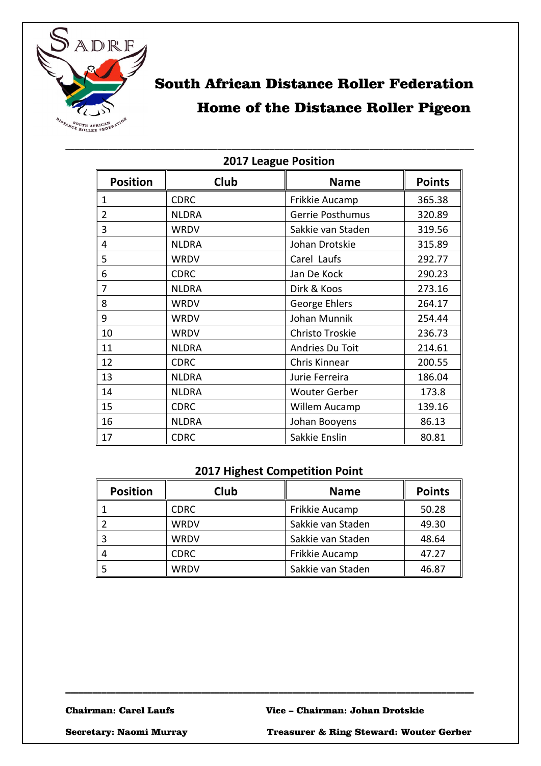

### South African Distance Roller Federation Home of the Distance Roller Pigeon

| <b>ZUIT LEARUE PUSILIUII</b> |              |                      |               |
|------------------------------|--------------|----------------------|---------------|
| <b>Position</b>              | Club         | <b>Name</b>          | <b>Points</b> |
| 1                            | <b>CDRC</b>  | Frikkie Aucamp       | 365.38        |
| $\overline{2}$               | <b>NLDRA</b> | Gerrie Posthumus     | 320.89        |
| 3                            | <b>WRDV</b>  | Sakkie van Staden    | 319.56        |
| 4                            | <b>NLDRA</b> | Johan Drotskie       | 315.89        |
| 5                            | <b>WRDV</b>  | Carel Laufs          | 292.77        |
| 6                            | <b>CDRC</b>  | Jan De Kock          | 290.23        |
| 7                            | <b>NLDRA</b> | Dirk & Koos          | 273.16        |
| 8                            | <b>WRDV</b>  | George Ehlers        | 264.17        |
| 9                            | <b>WRDV</b>  | Johan Munnik         | 254.44        |
| 10                           | <b>WRDV</b>  | Christo Troskie      | 236.73        |
| 11                           | <b>NLDRA</b> | Andries Du Toit      | 214.61        |
| 12                           | <b>CDRC</b>  | Chris Kinnear        | 200.55        |
| 13                           | <b>NLDRA</b> | Jurie Ferreira       | 186.04        |
| 14                           | <b>NLDRA</b> | <b>Wouter Gerber</b> | 173.8         |
| 15                           | <b>CDRC</b>  | Willem Aucamp        | 139.16        |
| 16                           | <b>NLDRA</b> | Johan Booyens        | 86.13         |
| 17                           | <b>CDRC</b>  | Sakkie Enslin        | 80.81         |

#### **2017 League Position**

\_\_\_\_\_\_\_\_\_\_\_\_\_\_\_\_\_\_\_\_\_\_\_\_\_\_\_\_\_\_\_\_\_\_\_\_\_\_\_\_\_\_\_\_\_\_\_\_\_\_\_\_\_\_\_\_\_\_\_\_\_\_\_\_\_\_\_\_\_\_\_\_\_\_\_\_\_\_\_\_\_\_\_\_\_\_

#### **2017 Highest Competition Point**

| <b>Position</b> | Club        | <b>Name</b>       | <b>Points</b> |
|-----------------|-------------|-------------------|---------------|
|                 | <b>CDRC</b> | Frikkie Aucamp    | 50.28         |
|                 | <b>WRDV</b> | Sakkie van Staden | 49.30         |
|                 | <b>WRDV</b> | Sakkie van Staden | 48.64         |
|                 | <b>CDRC</b> | Frikkie Aucamp    | 47.27         |
|                 | WRDV        | Sakkie van Staden | 46.87         |

\_\_\_\_\_\_\_\_\_\_\_\_\_\_\_\_\_\_\_\_\_\_\_\_\_\_\_\_\_\_\_\_\_\_\_\_\_\_\_\_\_\_\_\_\_\_\_\_\_\_\_\_\_\_\_\_\_\_\_\_\_\_\_\_\_\_\_\_\_\_\_\_\_\_\_\_\_\_\_\_\_\_\_\_\_\_\_\_\_\_

Secretary: Naomi Murray Treasurer & Ring Steward: Wouter Gerber